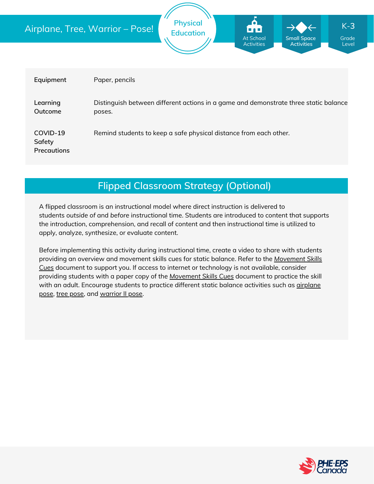|                                   | <b>Physical</b><br>$K-3$<br>Airplane, Tree, Warrior - Pose!<br><b>Education</b><br>At School<br><b>Small Space</b><br>Grade<br><b>Activities</b><br><b>Activities</b><br>Level |  |  |  |  |
|-----------------------------------|--------------------------------------------------------------------------------------------------------------------------------------------------------------------------------|--|--|--|--|
| Equipment                         | Paper, pencils                                                                                                                                                                 |  |  |  |  |
| Learning<br>Outcome               | Distinguish between different actions in a game and demonstrate three static balance<br>poses.                                                                                 |  |  |  |  |
| COVID-19<br>Safety<br>Precautions | Remind students to keep a safe physical distance from each other.                                                                                                              |  |  |  |  |

# **Flipped Classroom Strategy (Optional)**

A flipped classroom is an instructional model where direct instruction is delivered to students *outside of* and *before* instructional time. Students are introduced to content that supports the introduction, comprehension, and recall of content and then instructional time is utilized to apply, analyze, synthesize, or evaluate content.

Before implementing this activity during instructional time, create a video to share with students providing an overview and movement skills cues for static balance. Refer to the *Movement Skills Cues* document to support you. If access to internet or [technology](https://phecanada.ca/sites/default/files/content/docs/Home%20Learning%20Resource/Movement%20Cues/Movement%20Skills%20Cues%201.pdf) is not available, consider providing students with a paper copy of the *[Movement](https://phecanada.ca/sites/default/files/content/docs/Home%20Learning%20Resource/Movement%20Cues/Movement%20Skills%20Cues%201.pdf) Skills Cues* document to practice the skill with an adult. [Encourage](https://www.flowandgrowkidsyoga.com/blogs/news/yoga-poses-for-kids-airplane-pose?_pos=6&_sid=b507c54a5&_ss=r) students to practice different static balance activities such as *dirplane* pose, tree [pose](https://www.flowandgrowkidsyoga.com/blogs/news/yoga-poses-for-kids-tree-pose), and [warrior](https://www.flowandgrowkidsyoga.com/blogs/news/yoga-poses-for-kids-warrior-ii) II pose.

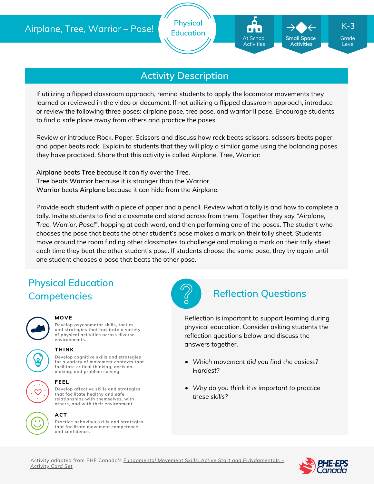

# **Activity Description**

If utilizing a flipped classroom approach, remind students to apply the locomotor movements they learned or reviewed in the video or document. If not utilizing a flipped classroom approach, introduce or review the following three poses: airplane pose, tree pose, and warrior II pose. Encourage students to find a safe place away from others and practice the poses.

Review or introduce Rock, Paper, Scissors and discuss how rock beats scissors, scissors beats paper, and paper beats rock. Explain to students that they will play a similar game using the balancing poses they have practiced. Share that this activity is called Airplane, Tree, Warrior:

**Airplane** beats **Tree** because it can fly over the Tree. **Tree** beats **Warrior** because it is stronger than the Warrior. **Warrior** beats **Airplane** because it can hide from the Airplane.

Provide each student with a piece of paper and a pencil. Review what a tally is and how to complete a tally. Invite students to find a classmate and stand across from them. Together they say *"Airplane, Tree, Warrior, Pose!"*, hopping at each word, and then performing one of the poses. The student who chooses the pose that beats the other student's pose makes a mark on their tally sheet. Students move around the room finding other classmates to challenge and making a mark on their tally sheet each time they beat the other student's pose. If students choose the same pose, they try again until one student chooses a pose that beats the other pose.

# **Physical Education Competencies Reflection Questions**



### **MOVE**

**Develop psychomotor skills, tactics, and strategies that facilitate a variety of physical activities across diverse environments.**



### **THINK**

**Develop cognitive skills and strategies for a variety of movement contexts that facilitate critical thinking, decision making, and problem solving.**



### **FEEL**

**Develop affective skills and strategies that facilitate healthy and safe relationships with themselves, with others, and with their environment.**



**Practice behaviour skills and strategies that facilitate movement competence and confidence.**



Reflection is important to support learning during physical education. Consider asking students the reflection questions below and discuss the answers together.

- *Which movement did you find the easiest? Hardest?*
- *Why do you think it is important to practice these skills?*